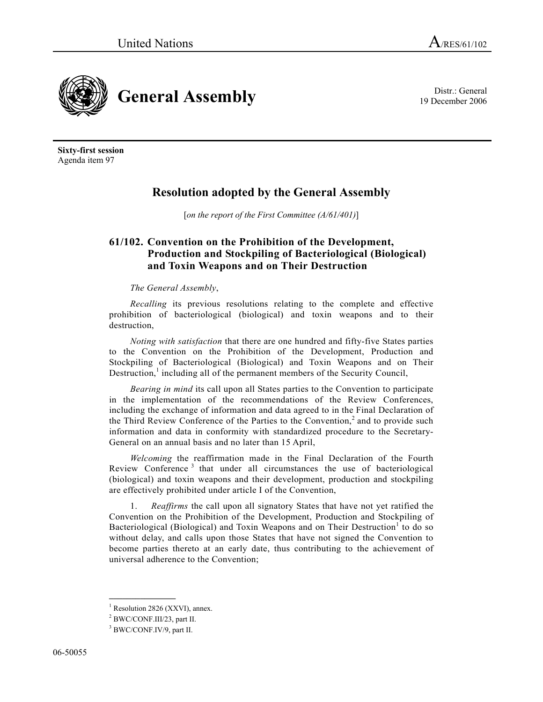



**Sixty-first session**  Agenda item 97

## **Resolution adopted by the General Assembly**

[*on the report of the First Committee (A/61/401)*]

## **61/102. Convention on the Prohibition of the Development, Production and Stockpiling of Bacteriological (Biological) and Toxin Weapons and on Their Destruction**

## *The General Assembly*,

*Recalling* its previous resolutions relating to the complete and effective prohibition of bacteriological (biological) and toxin weapons and to their destruction,

*Noting with satisfaction* that there are one hundred and fifty-five States parties to the Convention on the Prohibition of the Development, Production and Stockpiling of Bacteriological (Biological) and Toxin Weapons and on Their Destruction, $<sup>1</sup>$  including all of the permanent members of the Security Council,</sup>

*Bearing in mind* its call upon all States parties to the Convention to participate in the implementation of the recommendations of the Review Conferences, including the exchange of information and data agreed to in the Final Declaration of the Third Review Conference of the Parties to the Convention,<sup>2</sup> and to provide such information and data in conformity with standardized procedure to the Secretary-General on an annual basis and no later than 15 April,

*Welcoming* the reaffirmation made in the Final Declaration of the Fourth Review Conference<sup>3</sup> that under all circumstances the use of bacteriological (biological) and toxin weapons and their development, production and stockpiling are effectively prohibited under article I of the Convention,

 1. *Reaffirms* the call upon all signatory States that have not yet ratified the Convention on the Prohibition of the Development, Production and Stockpiling of Bacteriological (Biological) and Toxin Weapons and on Their Destruction<sup>1</sup> to do so without delay, and calls upon those States that have not signed the Convention to become parties thereto at an early date, thus contributing to the achievement of universal adherence to the Convention;

<sup>&</sup>lt;sup>1</sup> Resolution 2826 (XXVI), annex.

<sup>2</sup> BWC/CONF.III/23, part II.

<sup>&</sup>lt;sup>3</sup> BWC/CONF.IV/9, part II.